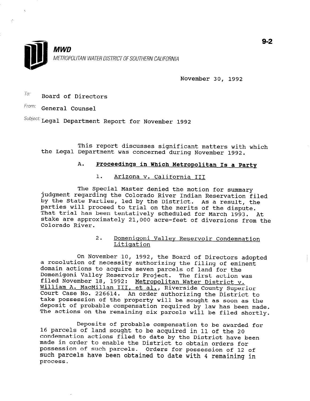

November 30, 1992

 $To:$  Board of Directors

From: General Counsel

Subject: Legal Department Report for November 1992

This report discusses significant matters with which the Legal Department was concerned during November 1992.

# A. Proceedings in Which Metropolitan Is a Party

# 1. Arizona v. California III

The Special Master denied the motion for summary judgment regarding the Colorado River Indian Reservation filed by the State Parties, led by the District. As a result, the parties will proceed to trial on the merits of the dispute. Purcies will proceed to that on the merits of the dispute.<br>That trial has been tentatively scheduled for March 1993. At stake are approximately 21,000 acre-feet of diversions from the contract of diversions from the contract of diversions from the contract of diversions from the contract of diversions of the contract of diversions from the stake are approximately 21,000 acre-feet of diversions from the Colorado River.

> 2. Domeniqoni Valley Reservoir Condemnation Litigation

On November 10, 1992, the Board of Directors adopted on november 10, 1992, the Board of Directors add a resolution of necessity authorizing the filing of eminent<br>domain actions to acquire seven parcels of land for the domain actions to acquire seven parcels of land for the<br>Domenigoni Valley Reservoir Project... The first setime was pomenigoni valley Reservolr Project. The first action w<br>filed November 19, 1993: Metropolitan Water District L IIIEQ NOVEMBET 18, 1992: Metrop <u>wiiliam A. MacMillan</u><br>Court Case No. 226614 Itan water DIStrict V. , et di., kiverside county superior Court Case No. 226614. An order authorizing the District to take possession of the property will be sought as soon as the deposit of probable compensation required by law has been made.<br>The actions on the remaining six parcels will be filed shortly.

Deposits of probable compensation to be awarded for percent probable compensation to be awarded in 11 of the 2015 of the 2016 of the 2016 of the 2016 of the 2016 o 16 parcels of land sought to be acquired in 11 of the 20 condemnation actions filed to date by the District have been made in order to enable the District to obtain orders for possession of such parcels. Orders for possession of 12 of such parcels have been obtained to date with 4 remaining in process.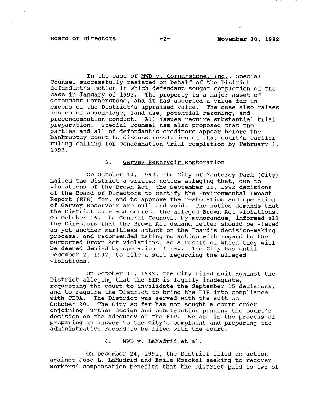In the case of MWD v. Cornerstone, Inc., Special Counsel successfully resisted on behalf of the District defendant's motion in which defendant sought completion of the case in January of 1993. The property is a major asset of defendant Cornerstone, and it has asserted a value far in excess of the District's appraised value. The case also raises issues of assemblage, land use, potential rezoning, and precondemnation conduct. All issues require substantial trial preparation. Special Counsel has also proposed that the parties and all of defendant's creditors appear before the bankruptcy court to discuss resolution of that court's earlier ruling calling for condemnation trial completion by February 1, 1003.<br>1

#### 3. Garvev Reservoir Restoration

 $\alpha$  October 14, 1992, the City of Monterey Park (city) on october 14, 1992, the City of Monterey Park ( mailed the District a written notice alleging that, due to violations of the Brown Act, the September 15, 1992 decisions of the Board of Directors to certify the Environmental Impact Report (EIR) for, and to approve the restoration and operation of Garvey Reservoir are null and void. The notice demands that the District cure and correct the alleged Brown Act violations. On October 16, the General Counsel, by memorandum, informed all the Directors that the Brown Act demand letter should be viewed as yet another meritless attack on the Board's decision-making process, and recommended taking no action with regard to the purported Brown Act violations, as a result of which they will be deemed denied by operation of law. The City has until December 2, 1992, to file a suit regarding the alleged violations.

On October 15, 1992, the City filed suit against the District alleging that the EIR is legally inadequate, requesting the court to invalidate the September 15 decisions, and to require the District to bring the EIR into compliance with CEQA. The District was served with the suit on October 20. The City so far has not sought a court order enjoining further design and construction pending the court's decision on the adequacy of the EIR. We are in the process of preparing an answer to the City's complaint and preparing the administrative record to be filed with the court.

#### 4. On December 24, 1991, the District filed an action

On December 24, 1991, the District filed an action against Jose L. LaMadrid and Emile Moeckel seeking to recover workers' compensation benefits that the District paid to two of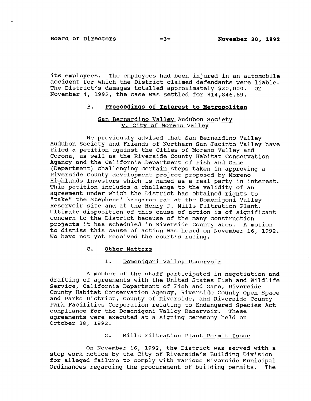its employees. The employees had been injured in an automobile accident for which the District claimed defendants were liable. The District's damages totalled approximately \$20,000. On November 4, 1992, the case was settled for \$14,846.69.

### B. Proceedings of Interest to Metropolitan

#### San Bernardino Vallev Audubon Society V. City of Moreno Valley

We previously advised that San Bernardino Valley Audubon Society and Friends of Northern San Jacinto Valley have filed a petition against the Cities of Moreno Valley and Tited a pecicion against the Cities of Moreno Valley and<br>Conservation as the Riverside County Habitat County Corona, as well as the Riverside County Habitat Conservation Agency and the California Department of Fish and Game (Department) challenging certain steps taken in approving a Riverside County development project proposed by Moreno Highlands Investors which is named as a real party in interest. This petition includes a challenge to the validity of an agreement under which the District has obtained rights to "take" the Stephens' kangaroo rat at the Domenigoni Valley Reservoir site and at the Henry J. Mills Filtration Plant. Ultimate disposition of this cause of action is of significant concern to the District because of the many construction projects it has scheduled in Riverside County ares. A motion to dismiss this cause of action was heard on November 16, 1992.<br>We have not yet received the court's ruling.

### 1. Domenigoni Valley Reservoir

A member of the staff participated in negotiation and drafting of agreements with the United States Fish and Wildlife Service, California Department of Fish and Game, Riverside County Habitat Conservation Agency, Riverside County Open Space and Parks District, County of Riverside, and Riverside County Park Facilities Corporation relating to Endangered Species Act compliance for the Domenigoni Valley Reservoir. These agreements were executed at a signing ceremony held on October 28. 1992.

# On November 16, 1992, the District was served with a served with a served with a served with a series of the D<br>The District with a served with a served with a served with a served with a served with a served with a served

On November 16, 1992, the District was served with a stop work notice by the City of Riverside's Building Division for alleged failure to comply with various Riverside Municipal Ordinances regarding the procurement of building permits. The